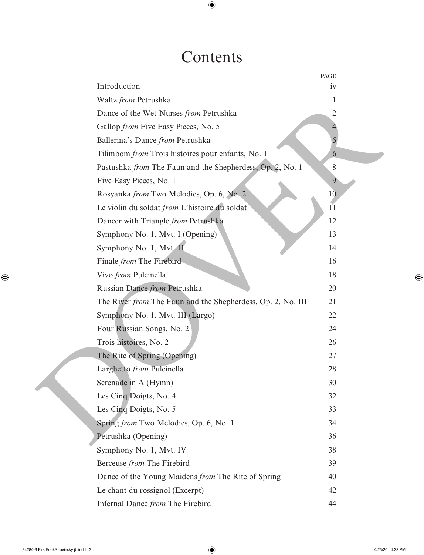### Contents

|  |                                                             | <b>PAGE</b> |
|--|-------------------------------------------------------------|-------------|
|  | Introduction                                                | 1V          |
|  | Waltz from Petrushka                                        | 1           |
|  | Dance of the Wet-Nurses from Petrushka                      | 2           |
|  | Gallop from Five Easy Pieces, No. 5                         |             |
|  | Ballerina's Dance from Petrushka                            | 5           |
|  | Tilimbom from Trois histoires pour enfants, No. 1           | 6           |
|  | Pastushka from The Faun and the Shepherdess, Op. 2, No. 1   | 8           |
|  | Five Easy Pieces, No. 1                                     | 9           |
|  | Rosyanka from Two Melodies, Op. 6, No. 2                    | 10          |
|  | Le violin du soldat from L'histoire du soldat               | 11          |
|  | Dancer with Triangle from Petrushka                         | 12          |
|  | Symphony No. 1, Mvt. I (Opening)                            | 13          |
|  | Symphony No. 1, Mvt. II                                     | 14          |
|  | Finale from The Firebird                                    | 16          |
|  | Vivo from Pulcinella                                        | 18          |
|  | Russian Dance from Petrushka                                | 20          |
|  | The River from The Faun and the Shepherdess, Op. 2, No. III | 21          |
|  | Symphony No. 1, Mvt. III (Largo)                            | 22          |
|  | Four Russian Songs, No. 2                                   | 24          |
|  | Trois histoires, No. 2                                      | 26          |
|  | The Rite of Spring (Opening)                                | 27          |
|  | Larghetto from Pulcinella                                   | 28          |
|  | Serenade in A (Hymn)                                        | 30          |
|  | Les Cinq Doigts, No. 4                                      | 32          |
|  | Les Cinq Doigts, No. 5                                      | 33          |
|  | Spring from Two Melodies, Op. 6, No. 1                      | 34          |
|  | Petrushka (Opening)                                         | 36          |
|  | Symphony No. 1, Mvt. IV                                     | 38          |
|  | Berceuse from The Firebird                                  | 39          |
|  | Dance of the Young Maidens from The Rite of Spring          | 40          |
|  | Le chant du rossignol (Excerpt)                             | 42          |
|  | Infernal Dance from The Firebird                            | 44          |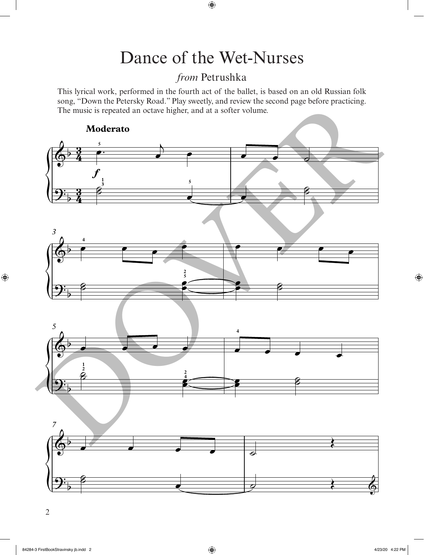## Dance of the Wet-Nurses

# from Petrushka

This lyrical work, performed in the fourth act of the ballet, is based on an old Russian folk song, "Down the Petersky Road." Play sweetly, and review the second page before practicing. The music is repeated an octave higher, and at a softer volume. *from* Petrushka<br>Brazil - Wet Nurse Dance California Dance Dance

#### **Moderato Moderato**



 $\overrightarrow{v}$ 

 $\mathbb{R}$  is the contract of  $\mathbb{R}$  . The contract of  $\mathbb{R}$ 

 $\overline{a}$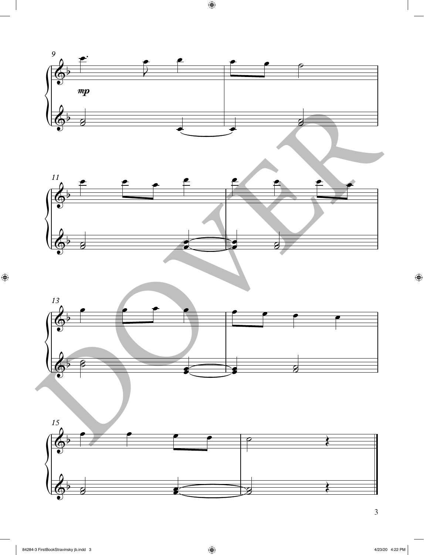

 $\bigcirc$ 

 $\bigcirc$ 

 $\overline{\mathbb{P}}$ 

 $\sigma$ 

 $\sigma$ 

 $\boldsymbol{\beta}$ 

 $\overline{g}$ 

**b** experiment  $\sim$  0

 $\frac{1}{2}$ 

 $\overrightarrow{e}$   $\overrightarrow{e}$ 



 $\overline{\mathscr{S}}$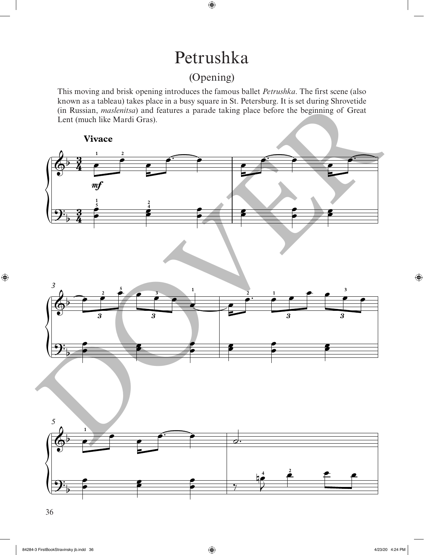### Petrushka  $\frac{1}{2}$

### (Opening) Strategy - Petrouch - Opening

This moving and brisk opening introduces the famous ballet *Petrushka*. The first scene (also known as a tableau) takes place in a busy square in St. Petersburg. It is set during Shrovetide (in Russian, *maslenitsa*) and features a parade taking place before the beginning of Great Lent (much like Mardi Gras).